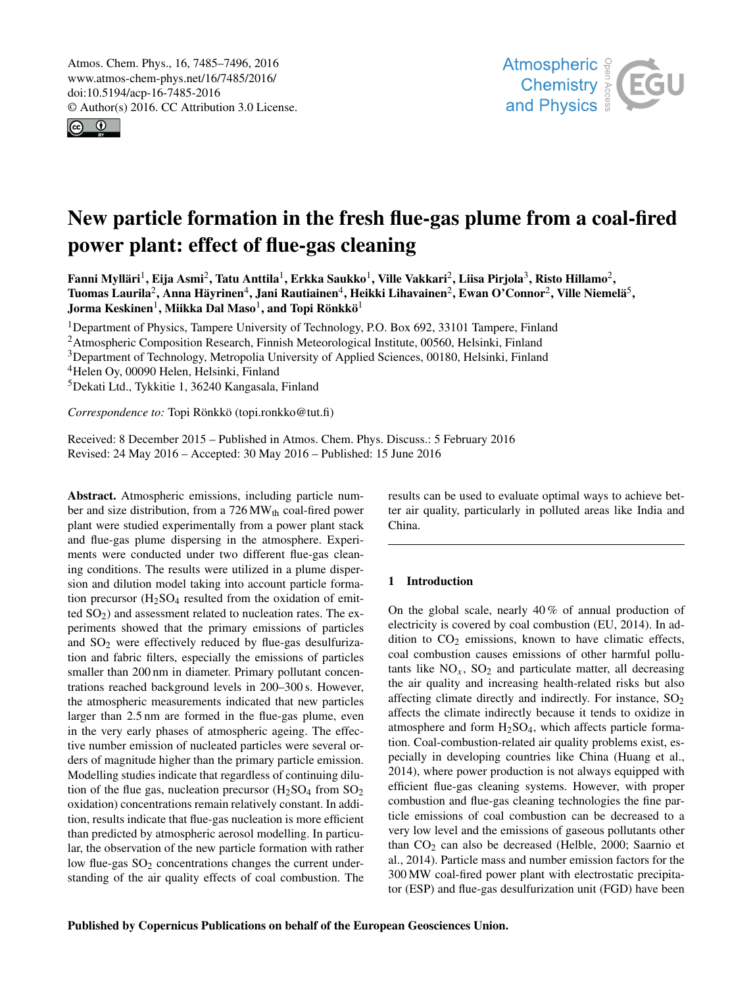<span id="page-0-1"></span>Atmos. Chem. Phys., 16, 7485–7496, 2016 www.atmos-chem-phys.net/16/7485/2016/ doi:10.5194/acp-16-7485-2016 © Author(s) 2016. CC Attribution 3.0 License.





# New particle formation in the fresh flue-gas plume from a coal-fired power plant: effect of flue-gas cleaning

Fanni Mylläri<sup>[1](#page-0-0)</sup>, Eija Asmi<sup>[2](#page-0-0)</sup>, Tatu Anttila<sup>1</sup>, Erkka Saukko<sup>1</sup>, Ville Vakkari<sup>2</sup>, Liisa Pirjola<sup>[3](#page-0-0)</sup>, Risto Hillamo<sup>2</sup>, Tuomas Laurila $^2$  $^2$ , Anna Häyrinen $^4$  $^4$ , Jani Rautiainen $^4$ , Heikki Lihavainen $^2$ , Ewan O'Connor $^2$ , Ville Niemelä $^5$  $^5$ , Jorma Keskinen $^1$  $^1$ , Miikka Dal Maso $^1$ , and Topi Rönkkö $^1$ 

<sup>1</sup>Department of Physics, Tampere University of Technology, P.O. Box 692, 33101 Tampere, Finland <sup>2</sup> Atmospheric Composition Research, Finnish Meteorological Institute, 00560, Helsinki, Finland <sup>3</sup>Department of Technology, Metropolia University of Applied Sciences, 00180, Helsinki, Finland <sup>4</sup>Helen Oy, 00090 Helen, Helsinki, Finland

<sup>5</sup>Dekati Ltd., Tykkitie 1, 36240 Kangasala, Finland

*Correspondence to:* Topi Rönkkö (topi.ronkko@tut.fi)

Received: 8 December 2015 – Published in Atmos. Chem. Phys. Discuss.: 5 February 2016 Revised: 24 May 2016 – Accepted: 30 May 2016 – Published: 15 June 2016

<span id="page-0-0"></span>Abstract. Atmospheric emissions, including particle number and size distribution, from a  $726 \text{MW}_{th}$  coal-fired power plant were studied experimentally from a power plant stack and flue-gas plume dispersing in the atmosphere. Experiments were conducted under two different flue-gas cleaning conditions. The results were utilized in a plume dispersion and dilution model taking into account particle formation precursor  $(H_2SO_4)$  resulted from the oxidation of emitted  $SO<sub>2</sub>$ ) and assessment related to nucleation rates. The experiments showed that the primary emissions of particles and  $SO<sub>2</sub>$  were effectively reduced by flue-gas desulfurization and fabric filters, especially the emissions of particles smaller than 200 nm in diameter. Primary pollutant concentrations reached background levels in 200–300 s. However, the atmospheric measurements indicated that new particles larger than 2.5 nm are formed in the flue-gas plume, even in the very early phases of atmospheric ageing. The effective number emission of nucleated particles were several orders of magnitude higher than the primary particle emission. Modelling studies indicate that regardless of continuing dilution of the flue gas, nucleation precursor  $(H<sub>2</sub>SO<sub>4</sub>$  from  $SO<sub>2</sub>$ oxidation) concentrations remain relatively constant. In addition, results indicate that flue-gas nucleation is more efficient than predicted by atmospheric aerosol modelling. In particular, the observation of the new particle formation with rather low flue-gas  $SO<sub>2</sub>$  concentrations changes the current understanding of the air quality effects of coal combustion. The results can be used to evaluate optimal ways to achieve better air quality, particularly in polluted areas like India and China.

# 1 Introduction

On the global scale, nearly  $40\%$  of annual production of electricity is covered by coal combustion (EU, 2014). In addition to  $CO<sub>2</sub>$  emissions, known to have climatic effects, coal combustion causes emissions of other harmful pollutants like  $NO_x$ ,  $SO_2$  and particulate matter, all decreasing the air quality and increasing health-related risks but also affecting climate directly and indirectly. For instance,  $SO<sub>2</sub>$ affects the climate indirectly because it tends to oxidize in atmosphere and form  $H<sub>2</sub>SO<sub>4</sub>$ , which affects particle formation. Coal-combustion-related air quality problems exist, especially in developing countries like China (Huang et al., 2014), where power production is not always equipped with efficient flue-gas cleaning systems. However, with proper combustion and flue-gas cleaning technologies the fine particle emissions of coal combustion can be decreased to a very low level and the emissions of gaseous pollutants other than  $CO<sub>2</sub>$  can also be decreased (Helble, 2000; Saarnio et al., 2014). Particle mass and number emission factors for the 300 MW coal-fired power plant with electrostatic precipitator (ESP) and flue-gas desulfurization unit (FGD) have been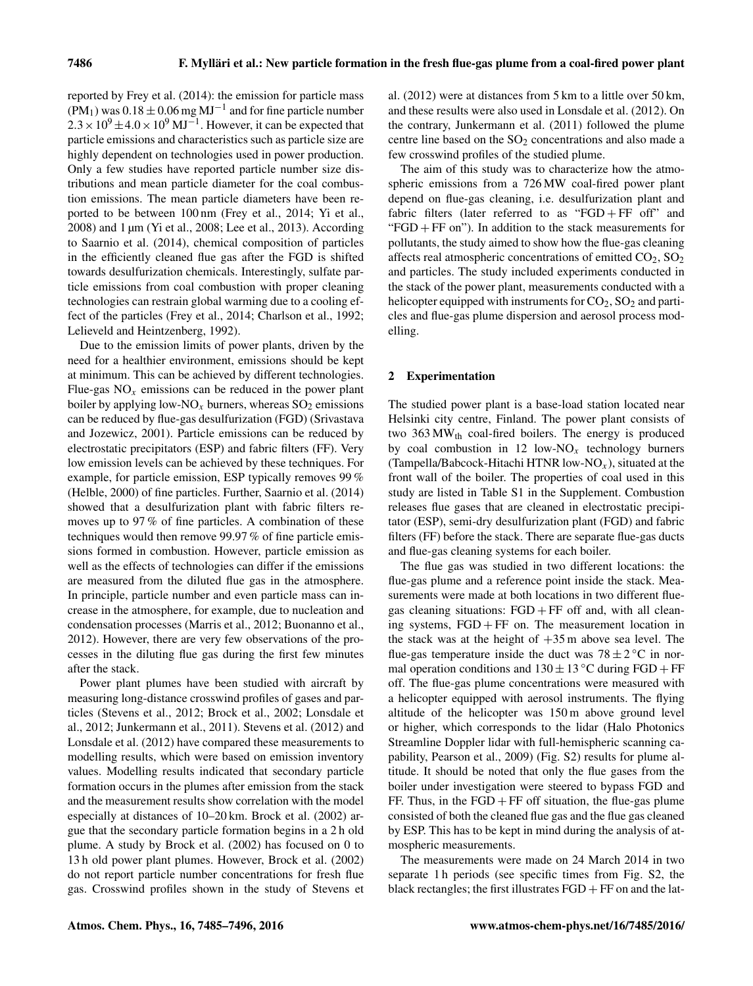reported by Frey et al. (2014): the emission for particle mass  $(PM_1)$  was  $0.18 \pm 0.06$  mg  $MJ^{-1}$  and for fine particle number  $2.3 \times 10^9 \pm 4.0 \times 10^9 \,\mathrm{MJ}^{-1}$ . However, it can be expected that particle emissions and characteristics such as particle size are highly dependent on technologies used in power production. Only a few studies have reported particle number size distributions and mean particle diameter for the coal combustion emissions. The mean particle diameters have been reported to be between 100 nm (Frey et al., 2014; Yi et al., 2008) and 1 µm (Yi et al., 2008; Lee et al., 2013). According to Saarnio et al. (2014), chemical composition of particles in the efficiently cleaned flue gas after the FGD is shifted towards desulfurization chemicals. Interestingly, sulfate particle emissions from coal combustion with proper cleaning technologies can restrain global warming due to a cooling effect of the particles (Frey et al., 2014; Charlson et al., 1992; Lelieveld and Heintzenberg, 1992).

Due to the emission limits of power plants, driven by the need for a healthier environment, emissions should be kept at minimum. This can be achieved by different technologies. Flue-gas  $NO<sub>x</sub>$  emissions can be reduced in the power plant boiler by applying low-NO<sub>x</sub> burners, whereas  $SO_2$  emissions can be reduced by flue-gas desulfurization (FGD) (Srivastava and Jozewicz, 2001). Particle emissions can be reduced by electrostatic precipitators (ESP) and fabric filters (FF). Very low emission levels can be achieved by these techniques. For example, for particle emission, ESP typically removes 99 % (Helble, 2000) of fine particles. Further, Saarnio et al. (2014) showed that a desulfurization plant with fabric filters removes up to 97 % of fine particles. A combination of these techniques would then remove 99.97 % of fine particle emissions formed in combustion. However, particle emission as well as the effects of technologies can differ if the emissions are measured from the diluted flue gas in the atmosphere. In principle, particle number and even particle mass can increase in the atmosphere, for example, due to nucleation and condensation processes (Marris et al., 2012; Buonanno et al., 2012). However, there are very few observations of the processes in the diluting flue gas during the first few minutes after the stack.

Power plant plumes have been studied with aircraft by measuring long-distance crosswind profiles of gases and particles (Stevens et al., 2012; Brock et al., 2002; Lonsdale et al., 2012; Junkermann et al., 2011). Stevens et al. (2012) and Lonsdale et al. (2012) have compared these measurements to modelling results, which were based on emission inventory values. Modelling results indicated that secondary particle formation occurs in the plumes after emission from the stack and the measurement results show correlation with the model especially at distances of 10–20 km. Brock et al. (2002) argue that the secondary particle formation begins in a 2 h old plume. A study by Brock et al. (2002) has focused on 0 to 13 h old power plant plumes. However, Brock et al. (2002) do not report particle number concentrations for fresh flue gas. Crosswind profiles shown in the study of Stevens et al. (2012) were at distances from 5 km to a little over 50 km, and these results were also used in Lonsdale et al. (2012). On the contrary, Junkermann et al. (2011) followed the plume centre line based on the  $SO<sub>2</sub>$  concentrations and also made a few crosswind profiles of the studied plume.

The aim of this study was to characterize how the atmospheric emissions from a 726 MW coal-fired power plant depend on flue-gas cleaning, i.e. desulfurization plant and fabric filters (later referred to as "FGD + FF off" and " $FGD + FF$  on"). In addition to the stack measurements for pollutants, the study aimed to show how the flue-gas cleaning affects real atmospheric concentrations of emitted  $CO<sub>2</sub>$ ,  $SO<sub>2</sub>$ and particles. The study included experiments conducted in the stack of the power plant, measurements conducted with a helicopter equipped with instruments for  $CO<sub>2</sub>$ ,  $SO<sub>2</sub>$  and particles and flue-gas plume dispersion and aerosol process modelling.

# 2 Experimentation

The studied power plant is a base-load station located near Helsinki city centre, Finland. The power plant consists of two  $363 \text{MW}_{\text{th}}$  coal-fired boilers. The energy is produced by coal combustion in 12 low- $NO<sub>x</sub>$  technology burners (Tampella/Babcock-Hitachi HTNR low-NO<sub>x</sub>), situated at the front wall of the boiler. The properties of coal used in this study are listed in Table S1 in the Supplement. Combustion releases flue gases that are cleaned in electrostatic precipitator (ESP), semi-dry desulfurization plant (FGD) and fabric filters (FF) before the stack. There are separate flue-gas ducts and flue-gas cleaning systems for each boiler.

The flue gas was studied in two different locations: the flue-gas plume and a reference point inside the stack. Measurements were made at both locations in two different fluegas cleaning situations:  $FGD + FF$  off and, with all cleaning systems,  $FGD + FF$  on. The measurement location in the stack was at the height of  $+35$  m above sea level. The flue-gas temperature inside the duct was  $78 \pm 2$  °C in normal operation conditions and  $130 \pm 13$  °C during FGD + FF off. The flue-gas plume concentrations were measured with a helicopter equipped with aerosol instruments. The flying altitude of the helicopter was 150 m above ground level or higher, which corresponds to the lidar (Halo Photonics Streamline Doppler lidar with full-hemispheric scanning capability, Pearson et al., 2009) (Fig. S2) results for plume altitude. It should be noted that only the flue gases from the boiler under investigation were steered to bypass FGD and FF. Thus, in the  $FGD + FF$  off situation, the flue-gas plume consisted of both the cleaned flue gas and the flue gas cleaned by ESP. This has to be kept in mind during the analysis of atmospheric measurements.

The measurements were made on 24 March 2014 in two separate 1 h periods (see specific times from Fig. S2, the black rectangles; the first illustrates  $FGD + FF$  on and the lat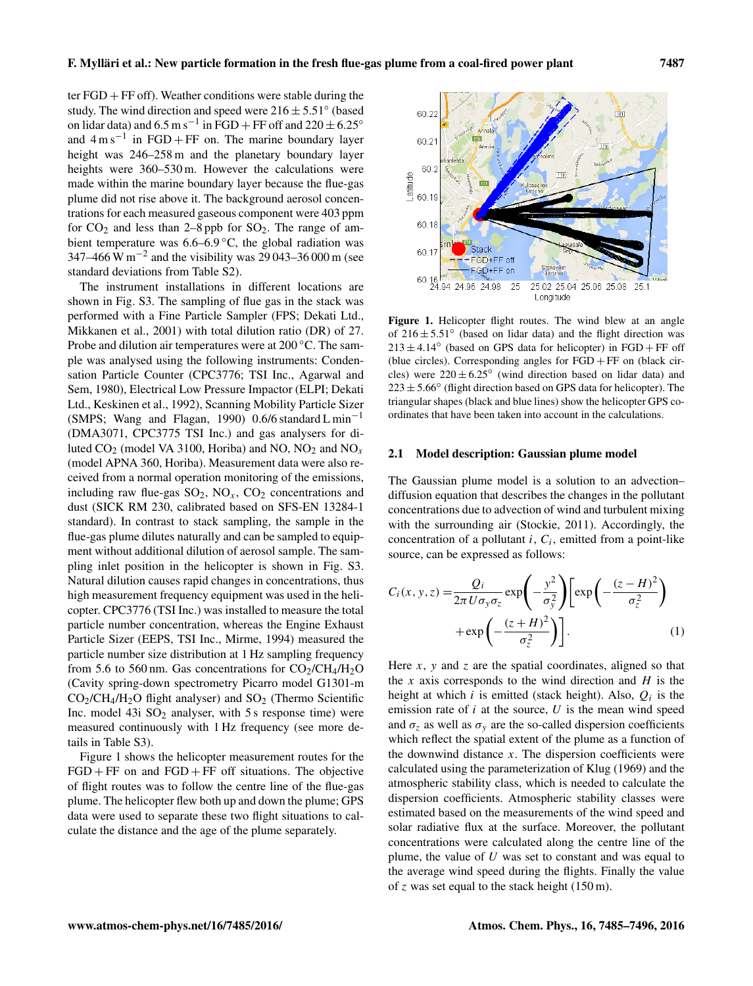ter  $FGD + FF$  off). Weather conditions were stable during the study. The wind direction and speed were  $216 \pm 5.51^{\circ}$  (based on lidar data) and  $6.5 \text{ m s}^{-1}$  in FGD + FF off and  $220 \pm 6.25$ ° and  $4 \text{ m s}^{-1}$  in FGD + FF on. The marine boundary layer height was 246–258 m and the planetary boundary layer heights were 360–530 m. However the calculations were made within the marine boundary layer because the flue-gas plume did not rise above it. The background aerosol concentrations for each measured gaseous component were 403 ppm for  $CO_2$  and less than 2–8 ppb for  $SO_2$ . The range of ambient temperature was  $6.6-6.9\degree C$ , the global radiation was 347–466 W m<sup>-2</sup> and the visibility was 29 043–36 000 m (see standard deviations from Table S2).

The instrument installations in different locations are shown in Fig. S3. The sampling of flue gas in the stack was performed with a Fine Particle Sampler (FPS; Dekati Ltd., Mikkanen et al., 2001) with total dilution ratio (DR) of 27. Probe and dilution air temperatures were at 200 ◦C. The sample was analysed using the following instruments: Condensation Particle Counter (CPC3776; TSI Inc., Agarwal and Sem, 1980), Electrical Low Pressure Impactor (ELPI; Dekati Ltd., Keskinen et al., 1992), Scanning Mobility Particle Sizer (SMPS; Wang and Flagan, 1990) 0.6/6 standard L min<sup>-1</sup> (DMA3071, CPC3775 TSI Inc.) and gas analysers for diluted  $CO_2$  (model VA 3100, Horiba) and NO, NO<sub>2</sub> and NO<sub>x</sub> (model APNA 360, Horiba). Measurement data were also received from a normal operation monitoring of the emissions, including raw flue-gas  $SO_2$ ,  $NO_x$ ,  $CO_2$  concentrations and dust (SICK RM 230, calibrated based on SFS-EN 13284-1 standard). In contrast to stack sampling, the sample in the flue-gas plume dilutes naturally and can be sampled to equipment without additional dilution of aerosol sample. The sampling inlet position in the helicopter is shown in Fig. S3. Natural dilution causes rapid changes in concentrations, thus high measurement frequency equipment was used in the helicopter. CPC3776 (TSI Inc.) was installed to measure the total particle number concentration, whereas the Engine Exhaust Particle Sizer (EEPS, TSI Inc., Mirme, 1994) measured the particle number size distribution at 1 Hz sampling frequency from 5.6 to 560 nm. Gas concentrations for  $CO<sub>2</sub>/CH<sub>4</sub>/H<sub>2</sub>O$ (Cavity spring-down spectrometry Picarro model G1301-m  $CO<sub>2</sub>/CH<sub>4</sub>/H<sub>2</sub>O$  flight analyser) and  $SO<sub>2</sub>$  (Thermo Scientific Inc. model  $43i$   $SO<sub>2</sub>$  analyser, with 5 s response time) were measured continuously with 1 Hz frequency (see more details in Table S3).

Figure 1 shows the helicopter measurement routes for the  $FGD + FF$  on and  $FGD + FF$  off situations. The objective of flight routes was to follow the centre line of the flue-gas plume. The helicopter flew both up and down the plume; GPS data were used to separate these two flight situations to calculate the distance and the age of the plume separately.



Figure 1. Helicopter flight routes. The wind blew at an angle of  $216 \pm 5.51^\circ$  (based on lidar data) and the flight direction was  $213 \pm 4.14^{\circ}$  (based on GPS data for helicopter) in FGD + FF off (blue circles). Corresponding angles for  $FGD + FF$  on (black circles) were  $220 \pm 6.25^{\circ}$  (wind direction based on lidar data) and  $223 \pm 5.66^{\circ}$  (flight direction based on GPS data for helicopter). The triangular shapes (black and blue lines) show the helicopter GPS coordinates that have been taken into account in the calculations.

#### 2.1 Model description: Gaussian plume model

The Gaussian plume model is a solution to an advection– diffusion equation that describes the changes in the pollutant concentrations due to advection of wind and turbulent mixing with the surrounding air (Stockie, 2011). Accordingly, the concentration of a pollutant  $i$ ,  $C_i$ , emitted from a point-like source, can be expressed as follows:

<span id="page-2-0"></span>
$$
C_i(x, y, z) = \frac{Q_i}{2\pi U \sigma_y \sigma_z} \exp\left(-\frac{y^2}{\sigma_y^2}\right) \left[\exp\left(-\frac{(z-H)^2}{\sigma_z^2}\right) + \exp\left(-\frac{(z+H)^2}{\sigma_z^2}\right)\right].
$$
 (1)

Here  $x$ ,  $y$  and  $z$  are the spatial coordinates, aligned so that the x axis corresponds to the wind direction and  $H$  is the height at which *i* is emitted (stack height). Also,  $Q_i$  is the emission rate of  $i$  at the source,  $U$  is the mean wind speed and  $\sigma_z$  as well as  $\sigma_y$  are the so-called dispersion coefficients which reflect the spatial extent of the plume as a function of the downwind distance  $x$ . The dispersion coefficients were calculated using the parameterization of Klug (1969) and the atmospheric stability class, which is needed to calculate the dispersion coefficients. Atmospheric stability classes were estimated based on the measurements of the wind speed and solar radiative flux at the surface. Moreover, the pollutant concentrations were calculated along the centre line of the plume, the value of  $U$  was set to constant and was equal to the average wind speed during the flights. Finally the value of z was set equal to the stack height  $(150 \text{ m})$ .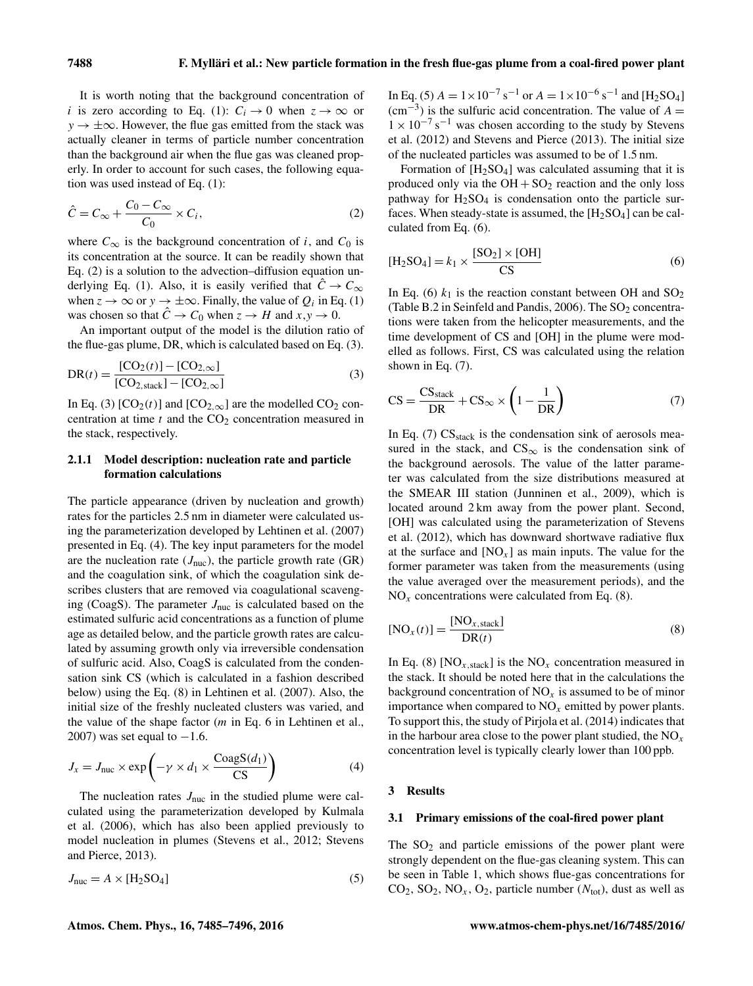It is worth noting that the background concentration of i is zero according to Eq. (1):  $C_i \rightarrow 0$  when  $z \rightarrow \infty$  or  $y \rightarrow \pm \infty$ . However, the flue gas emitted from the stack was actually cleaner in terms of particle number concentration than the background air when the flue gas was cleaned properly. In order to account for such cases, the following equation was used instead of Eq. [\(1\)](#page-2-0):

<span id="page-3-0"></span>
$$
\hat{C} = C_{\infty} + \frac{C_0 - C_{\infty}}{C_0} \times C_i,
$$
\n(2)

where  $C_{\infty}$  is the background concentration of i, and  $C_0$  is its concentration at the source. It can be readily shown that Eq. [\(2\)](#page-3-0) is a solution to the advection–diffusion equation un-derlying Eq. [\(1\)](#page-2-0). Also, it is easily verified that  $C \rightarrow C_{\infty}$ when  $z \to \infty$  or  $y \to \pm \infty$ . Finally, the value of  $Q_i$  in Eq. [\(1\)](#page-2-0) was chosen so that  $\ddot{C} \rightarrow C_0$  when  $z \rightarrow H$  and  $x, y \rightarrow 0$ .

An important output of the model is the dilution ratio of the flue-gas plume, DR, which is calculated based on Eq. [\(3\)](#page-3-1).

$$
DR(t) = \frac{[CO_2(t)] - [CO_{2,\infty}]}{[CO_{2,\text{stack}}] - [CO_{2,\infty}]} \tag{3}
$$

In Eq. [\(3\)](#page-3-1)  $[CO_2(t)]$  and  $[CO_{2,\infty}]$  are the modelled  $CO_2$  concentration at time  $t$  and the  $CO<sub>2</sub>$  concentration measured in the stack, respectively.

## 2.1.1 Model description: nucleation rate and particle formation calculations

The particle appearance (driven by nucleation and growth) rates for the particles 2.5 nm in diameter were calculated using the parameterization developed by Lehtinen et al. (2007) presented in Eq. [\(4\)](#page-3-2). The key input parameters for the model are the nucleation rate  $(J<sub>nuc</sub>)$ , the particle growth rate  $(GR)$ and the coagulation sink, of which the coagulation sink describes clusters that are removed via coagulational scavenging (CoagS). The parameter  $J_{\text{nuc}}$  is calculated based on the estimated sulfuric acid concentrations as a function of plume age as detailed below, and the particle growth rates are calculated by assuming growth only via irreversible condensation of sulfuric acid. Also, CoagS is calculated from the condensation sink CS (which is calculated in a fashion described below) using the Eq. (8) in Lehtinen et al. (2007). Also, the initial size of the freshly nucleated clusters was varied, and the value of the shape factor  $(m \text{ in Eq. 6 in Lehtinen et al.})$ 2007) was set equal to  $-1.6$ .

<span id="page-3-2"></span>
$$
J_x = J_{\text{nuc}} \times \exp\left(-\gamma \times d_1 \times \frac{\text{CoagS}(d_1)}{\text{CS}}\right) \tag{4}
$$

The nucleation rates  $J_{\text{nuc}}$  in the studied plume were calculated using the parameterization developed by Kulmala et al. (2006), which has also been applied previously to model nucleation in plumes (Stevens et al., 2012; Stevens and Pierce, 2013).

<span id="page-3-3"></span>
$$
J_{\text{nuc}} = A \times [\text{H}_2 \text{SO}_4] \tag{5}
$$

In Eq. [\(5\)](#page-3-3)  $A = 1 \times 10^{-7}$  s<sup>-1</sup> or  $A = 1 \times 10^{-6}$  s<sup>-1</sup> and [H<sub>2</sub>SO<sub>4</sub>]  $\text{cm}^{-3}$ ) is the sulfuric acid concentration. The value of A =  $1 \times 10^{-7}$  s<sup>-1</sup> was chosen according to the study by Stevens et al. (2012) and Stevens and Pierce (2013). The initial size of the nucleated particles was assumed to be of 1.5 nm.

Formation of  $[H_2SO_4]$  was calculated assuming that it is produced only via the  $OH + SO<sub>2</sub>$  reaction and the only loss pathway for  $H<sub>2</sub>SO<sub>4</sub>$  is condensation onto the particle surfaces. When steady-state is assumed, the  $[H_2SO_4]$  can be calculated from Eq. [\(6\)](#page-3-4).

<span id="page-3-4"></span>
$$
[\mathrm{H}_2\mathrm{SO}_4] = k_1 \times \frac{[\mathrm{SO}_2] \times [\mathrm{OH}]}{\mathrm{CS}} \tag{6}
$$

<span id="page-3-1"></span>In Eq. [\(6\)](#page-3-4)  $k_1$  is the reaction constant between OH and  $SO_2$ (Table B.2 in Seinfeld and Pandis, 2006). The  $SO_2$  concentrations were taken from the helicopter measurements, and the time development of CS and [OH] in the plume were modelled as follows. First, CS was calculated using the relation shown in Eq. [\(7\)](#page-3-5).

<span id="page-3-5"></span>
$$
CS = \frac{CS_{\text{stack}}}{DR} + CS_{\infty} \times \left(1 - \frac{1}{DR}\right) \tag{7}
$$

In Eq.  $(7)$  CS<sub>stack</sub> is the condensation sink of aerosols measured in the stack, and  $CS_{\infty}$  is the condensation sink of the background aerosols. The value of the latter parameter was calculated from the size distributions measured at the SMEAR III station (Junninen et al., 2009), which is located around 2 km away from the power plant. Second, [OH] was calculated using the parameterization of Stevens et al. (2012), which has downward shortwave radiative flux at the surface and  $[NO<sub>x</sub>]$  as main inputs. The value for the former parameter was taken from the measurements (using the value averaged over the measurement periods), and the  $NO<sub>x</sub>$  concentrations were calculated from Eq. [\(8\)](#page-3-6).

<span id="page-3-6"></span>
$$
[NOx(t)] = \frac{[NOx,stack}]}{DR(t)}
$$
 (8)

In Eq. [\(8\)](#page-3-6)  $[NO_{x,stack}]$  is the NO<sub>x</sub> concentration measured in the stack. It should be noted here that in the calculations the background concentration of  $NO<sub>x</sub>$  is assumed to be of minor importance when compared to  $NO<sub>x</sub>$  emitted by power plants. To support this, the study of Pirjola et al. (2014) indicates that in the harbour area close to the power plant studied, the  $NO<sub>x</sub>$ concentration level is typically clearly lower than 100 ppb.

#### 3 Results

#### 3.1 Primary emissions of the coal-fired power plant

The  $SO<sub>2</sub>$  and particle emissions of the power plant were strongly dependent on the flue-gas cleaning system. This can be seen in Table 1, which shows flue-gas concentrations for  $CO_2$ ,  $SO_2$ ,  $NO_x$ ,  $O_2$ , particle number ( $N_{\text{tot}}$ ), dust as well as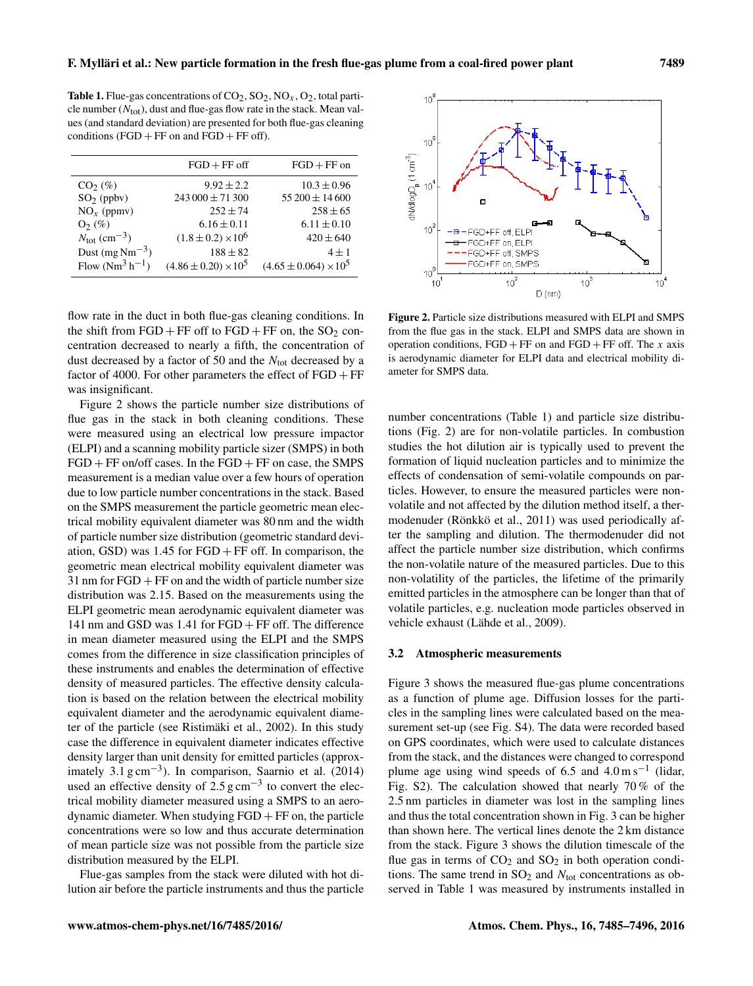**Table 1.** Flue-gas concentrations of  $CO_2$ ,  $SO_2$ ,  $NO_x$ ,  $O_2$ , total particle number  $(N_{\text{tot}})$ , dust and flue-gas flow rate in the stack. Mean values (and standard deviation) are presented for both flue-gas cleaning conditions ( $FGD + FF$  on and  $FGD + FF$  off).

|                                      | $FGD + FF$ off                | $FGD + FF$ on                  |
|--------------------------------------|-------------------------------|--------------------------------|
| $CO2(\%)$                            | $9.92 \pm 2.2$                | $10.3 \pm 0.96$                |
| $SO2$ (ppbv)                         | $243\,000 \pm 71\,300$        | $55200 \pm 14600$              |
| $NOx$ (ppmv)                         | $252 \pm 74$                  | $258 \pm 65$                   |
| $O_2$ (%)                            | $6.16 \pm 0.11$               | $6.11 \pm 0.10$                |
| $N_{\text{tot}}$ (cm <sup>-3</sup> ) | $(1.8 \pm 0.2) \times 10^6$   | $420 \pm 640$                  |
| Dust $(mg\,Nm^{-3})$                 | $188 \pm 82$                  | $4 \pm 1$                      |
| Flow $(Nm^3 h^{-1})$                 | $(4.86 \pm 0.20) \times 10^5$ | $(4.65 \pm 0.064) \times 10^5$ |

flow rate in the duct in both flue-gas cleaning conditions. In the shift from  $FGD + FF$  off to  $FGD + FF$  on, the  $SO<sub>2</sub>$  concentration decreased to nearly a fifth, the concentration of dust decreased by a factor of 50 and the  $N_{\text{tot}}$  decreased by a factor of 4000. For other parameters the effect of  $FGD + FF$ was insignificant.

Figure 2 shows the particle number size distributions of flue gas in the stack in both cleaning conditions. These were measured using an electrical low pressure impactor (ELPI) and a scanning mobility particle sizer (SMPS) in both  $FGD + FF$  on/off cases. In the  $FGD + FF$  on case, the SMPS measurement is a median value over a few hours of operation due to low particle number concentrations in the stack. Based on the SMPS measurement the particle geometric mean electrical mobility equivalent diameter was 80 nm and the width of particle number size distribution (geometric standard deviation, GSD) was  $1.45$  for  $FGD + FF$  off. In comparison, the geometric mean electrical mobility equivalent diameter was  $31$  nm for  $FGD + FF$  on and the width of particle number size distribution was 2.15. Based on the measurements using the ELPI geometric mean aerodynamic equivalent diameter was 141 nm and GSD was 1.41 for FGD + FF off. The difference in mean diameter measured using the ELPI and the SMPS comes from the difference in size classification principles of these instruments and enables the determination of effective density of measured particles. The effective density calculation is based on the relation between the electrical mobility equivalent diameter and the aerodynamic equivalent diameter of the particle (see Ristimäki et al., 2002). In this study case the difference in equivalent diameter indicates effective density larger than unit density for emitted particles (approximately 3.1 g cm−<sup>3</sup> ). In comparison, Saarnio et al. (2014) used an effective density of  $2.5 \text{ g cm}^{-3}$  to convert the electrical mobility diameter measured using a SMPS to an aerodynamic diameter. When studying  $FGD + FF$  on, the particle concentrations were so low and thus accurate determination of mean particle size was not possible from the particle size distribution measured by the ELPI.

Flue-gas samples from the stack were diluted with hot dilution air before the particle instruments and thus the particle



Figure 2. Particle size distributions measured with ELPI and SMPS from the flue gas in the stack. ELPI and SMPS data are shown in operation conditions,  $FGD + FF$  on and  $FGD + FF$  off. The x axis is aerodynamic diameter for ELPI data and electrical mobility diameter for SMPS data.

number concentrations (Table 1) and particle size distributions (Fig. 2) are for non-volatile particles. In combustion studies the hot dilution air is typically used to prevent the formation of liquid nucleation particles and to minimize the effects of condensation of semi-volatile compounds on particles. However, to ensure the measured particles were nonvolatile and not affected by the dilution method itself, a thermodenuder (Rönkkö et al., 2011) was used periodically after the sampling and dilution. The thermodenuder did not affect the particle number size distribution, which confirms the non-volatile nature of the measured particles. Due to this non-volatility of the particles, the lifetime of the primarily emitted particles in the atmosphere can be longer than that of volatile particles, e.g. nucleation mode particles observed in vehicle exhaust (Lähde et al., 2009).

### 3.2 Atmospheric measurements

Figure 3 shows the measured flue-gas plume concentrations as a function of plume age. Diffusion losses for the particles in the sampling lines were calculated based on the measurement set-up (see Fig. S4). The data were recorded based on GPS coordinates, which were used to calculate distances from the stack, and the distances were changed to correspond plume age using wind speeds of 6.5 and  $4.0 \text{ m s}^{-1}$  (lidar, Fig. S2). The calculation showed that nearly 70 % of the 2.5 nm particles in diameter was lost in the sampling lines and thus the total concentration shown in Fig. 3 can be higher than shown here. The vertical lines denote the 2 km distance from the stack. Figure 3 shows the dilution timescale of the flue gas in terms of  $CO<sub>2</sub>$  and  $SO<sub>2</sub>$  in both operation conditions. The same trend in  $SO_2$  and  $N_{tot}$  concentrations as observed in Table 1 was measured by instruments installed in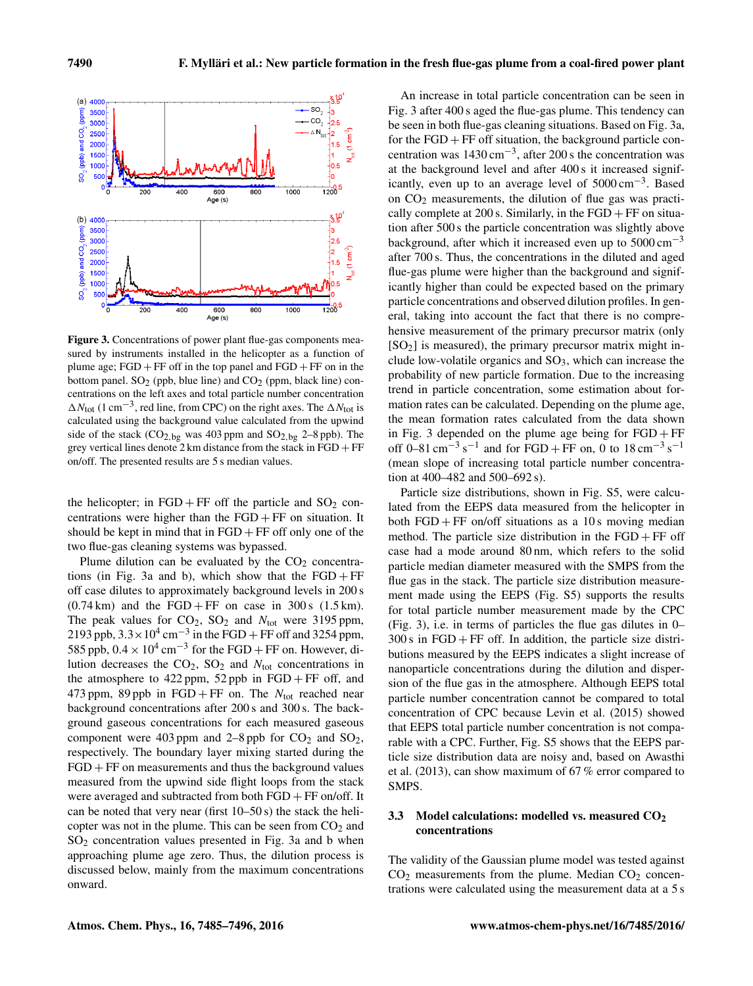

Figure 3. Concentrations of power plant flue-gas components measured by instruments installed in the helicopter as a function of plume age;  $FGD + FF$  off in the top panel and  $FGD + FF$  on in the bottom panel.  $SO<sub>2</sub>$  (ppb, blue line) and  $CO<sub>2</sub>$  (ppm, black line) concentrations on the left axes and total particle number concentration  $\Delta N_{\text{tot}}$  (1 cm<sup>-3</sup>, red line, from CPC) on the right axes. The  $\Delta N_{\text{tot}}$  is calculated using the background value calculated from the upwind side of the stack  $(CO_{2,bg}$  was 403 ppm and  $SO_{2,bg}$  2–8 ppb). The grey vertical lines denote 2 km distance from the stack in  $FGD + FF$ on/off. The presented results are 5 s median values.

the helicopter; in  $FGD + FF$  off the particle and  $SO<sub>2</sub>$  concentrations were higher than the  $FGD + FF$  on situation. It should be kept in mind that in  $FGD + FF$  off only one of the two flue-gas cleaning systems was bypassed.

Plume dilution can be evaluated by the  $CO<sub>2</sub>$  concentrations (in Fig. 3a and b), which show that the  $FGD + FF$ off case dilutes to approximately background levels in 200 s  $(0.74 \text{ km})$  and the FGD + FF on case in 300 s  $(1.5 \text{ km})$ . The peak values for  $CO<sub>2</sub>$ ,  $SO<sub>2</sub>$  and  $N<sub>tot</sub>$  were 3195 ppm, 2193 ppb,  $3.3 \times 10^4$  cm<sup>-3</sup> in the FGD + FF off and 3254 ppm, 585 ppb,  $0.4 \times 10^4$  cm<sup>-3</sup> for the FGD + FF on. However, dilution decreases the  $CO<sub>2</sub>$ ,  $SO<sub>2</sub>$  and  $N<sub>tot</sub>$  concentrations in the atmosphere to  $422$  ppm,  $52$  ppb in  $FGD + FF$  off, and 473 ppm, 89 ppb in FGD + FF on. The  $N_{\text{tot}}$  reached near background concentrations after 200 s and 300 s. The background gaseous concentrations for each measured gaseous component were 403 ppm and 2–8 ppb for  $CO<sub>2</sub>$  and  $SO<sub>2</sub>$ , respectively. The boundary layer mixing started during the  $FGD + FF$  on measurements and thus the background values measured from the upwind side flight loops from the stack were averaged and subtracted from both FGD + FF on/off. It can be noted that very near (first 10–50 s) the stack the helicopter was not in the plume. This can be seen from  $CO<sub>2</sub>$  and  $SO<sub>2</sub>$  concentration values presented in Fig. 3a and b when approaching plume age zero. Thus, the dilution process is discussed below, mainly from the maximum concentrations onward.

An increase in total particle concentration can be seen in Fig. 3 after 400 s aged the flue-gas plume. This tendency can be seen in both flue-gas cleaning situations. Based on Fig. 3a, for the  $FGD + FF$  off situation, the background particle concentration was  $1430 \text{ cm}^{-3}$ , after 200 s the concentration was at the background level and after 400 s it increased significantly, even up to an average level of  $5000 \text{ cm}^{-3}$ . Based on  $CO<sub>2</sub>$  measurements, the dilution of flue gas was practically complete at 200 s. Similarly, in the  $FGD + FF$  on situation after 500 s the particle concentration was slightly above background, after which it increased even up to  $5000 \text{ cm}^{-3}$ after 700 s. Thus, the concentrations in the diluted and aged flue-gas plume were higher than the background and significantly higher than could be expected based on the primary particle concentrations and observed dilution profiles. In general, taking into account the fact that there is no comprehensive measurement of the primary precursor matrix (only  $[SO<sub>2</sub>]$  is measured), the primary precursor matrix might include low-volatile organics and  $SO_3$ , which can increase the probability of new particle formation. Due to the increasing trend in particle concentration, some estimation about formation rates can be calculated. Depending on the plume age, the mean formation rates calculated from the data shown in Fig. 3 depended on the plume age being for  $FGD + FF$ off 0–81 cm<sup>-3</sup> s<sup>-1</sup> and for FGD + FF on, 0 to 18 cm<sup>-3</sup> s<sup>-1</sup> (mean slope of increasing total particle number concentration at 400–482 and 500–692 s).

Particle size distributions, shown in Fig. S5, were calculated from the EEPS data measured from the helicopter in both  $FGD + FF$  on/off situations as a 10 s moving median method. The particle size distribution in the  $FGD + FF$  off case had a mode around 80 nm, which refers to the solid particle median diameter measured with the SMPS from the flue gas in the stack. The particle size distribution measurement made using the EEPS (Fig. S5) supports the results for total particle number measurement made by the CPC (Fig. 3), i.e. in terms of particles the flue gas dilutes in 0–  $300 s$  in FGD + FF off. In addition, the particle size distributions measured by the EEPS indicates a slight increase of nanoparticle concentrations during the dilution and dispersion of the flue gas in the atmosphere. Although EEPS total particle number concentration cannot be compared to total concentration of CPC because Levin et al. (2015) showed that EEPS total particle number concentration is not comparable with a CPC. Further, Fig. S5 shows that the EEPS particle size distribution data are noisy and, based on Awasthi et al. (2013), can show maximum of 67 % error compared to SMPS.

# 3.3 Model calculations: modelled vs. measured  $CO<sub>2</sub>$ concentrations

The validity of the Gaussian plume model was tested against  $CO<sub>2</sub>$  measurements from the plume. Median  $CO<sub>2</sub>$  concentrations were calculated using the measurement data at a 5 s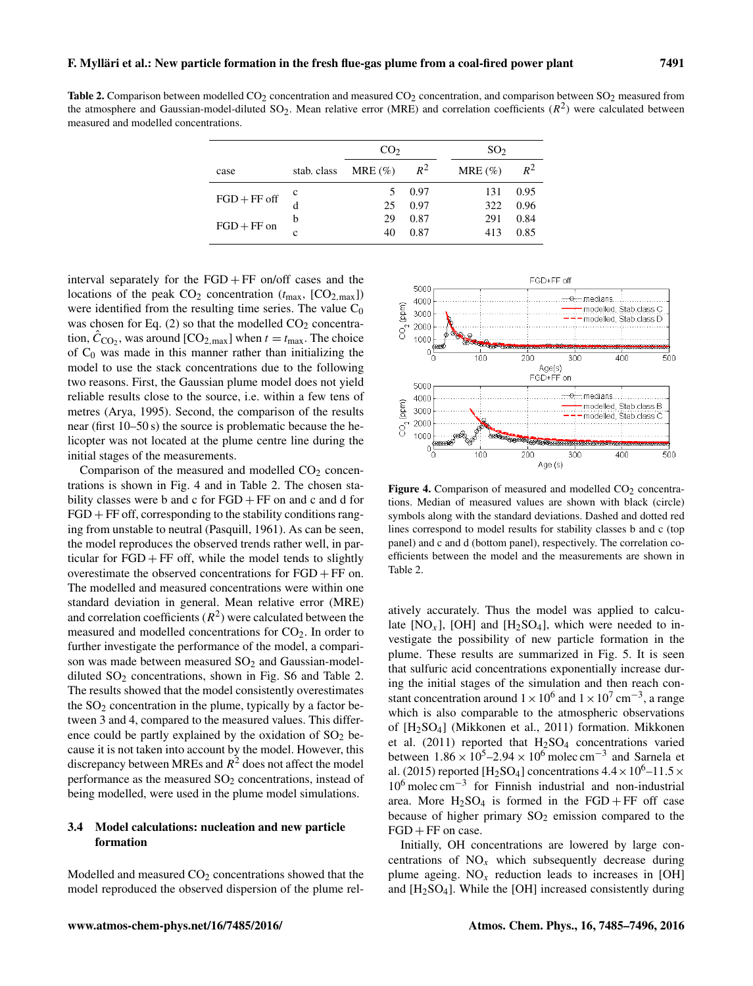<span id="page-6-0"></span>Table 2. Comparison between modelled  $CO<sub>2</sub>$  concentration and measured  $CO<sub>2</sub>$  concentration, and comparison between  $SO<sub>2</sub>$  measured from the atmosphere and Gaussian-model-diluted SO<sub>2</sub>. Mean relative error (MRE) and correlation coefficients  $(R^2)$  were calculated between measured and modelled concentrations.

|                |             | CO <sub>2</sub> |       | SO <sub>2</sub> |       |  |  |
|----------------|-------------|-----------------|-------|-----------------|-------|--|--|
| case           | stab. class | MRE $(\% )$     | $R^2$ | $MRE(\%)$       | $R^2$ |  |  |
|                | $\mathbf c$ | 5               | 0.97  | 131             | 0.95  |  |  |
| $FGD + FF$ off |             | 25              | 0.97  | 322             | 0.96  |  |  |
| $FGD + FF$ on  | b           | 29              | 0.87  | 291             | 0.84  |  |  |
|                | c           | 40              | 0.87  | 413             | 0.85  |  |  |

interval separately for the  $FGD + FF$  on/off cases and the locations of the peak  $CO_2$  concentration ( $t_{\text{max}}$ ,  $[CO_{2,\text{max}}]$ ) were identified from the resulting time series. The value  $C_0$ was chosen for Eq.  $(2)$  so that the modelled  $CO<sub>2</sub>$  concentration,  $\hat{C}_{\text{CO}_2}$ , was around  $\text{[CO}_{2,\text{max}}\text{]}$  when  $t = t_{\text{max}}$ . The choice of  $C_0$  was made in this manner rather than initializing the model to use the stack concentrations due to the following two reasons. First, the Gaussian plume model does not yield reliable results close to the source, i.e. within a few tens of metres (Arya, 1995). Second, the comparison of the results near (first 10–50 s) the source is problematic because the helicopter was not located at the plume centre line during the initial stages of the measurements.

Comparison of the measured and modelled  $CO<sub>2</sub>$  concentrations is shown in Fig. 4 and in Table [2.](#page-6-0) The chosen stability classes were b and c for  $FGD + FF$  on and c and d for  $FGD + FF$  off, corresponding to the stability conditions ranging from unstable to neutral (Pasquill, 1961). As can be seen, the model reproduces the observed trends rather well, in particular for  $FGD + FF$  off, while the model tends to slightly overestimate the observed concentrations for FGD + FF on. The modelled and measured concentrations were within one standard deviation in general. Mean relative error (MRE) and correlation coefficients  $(R^2)$  were calculated between the measured and modelled concentrations for CO<sub>2</sub>. In order to further investigate the performance of the model, a comparison was made between measured  $SO<sub>2</sub>$  and Gaussian-modeldiluted  $SO_2$  concentrations, shown in Fig. S6 and Table 2. The results showed that the model consistently overestimates the  $SO<sub>2</sub>$  concentration in the plume, typically by a factor between 3 and 4, compared to the measured values. This difference could be partly explained by the oxidation of  $SO_2$  because it is not taken into account by the model. However, this discrepancy between MREs and  $R^2$  does not affect the model performance as the measured  $SO<sub>2</sub>$  concentrations, instead of being modelled, were used in the plume model simulations.

# 3.4 Model calculations: nucleation and new particle formation

Modelled and measured  $CO<sub>2</sub>$  concentrations showed that the model reproduced the observed dispersion of the plume rel-



Figure 4. Comparison of measured and modelled  $CO<sub>2</sub>$  concentrations. Median of measured values are shown with black (circle) symbols along with the standard deviations. Dashed and dotted red lines correspond to model results for stability classes b and c (top panel) and c and d (bottom panel), respectively. The correlation coefficients between the model and the measurements are shown in Table [2.](#page-6-0)

atively accurately. Thus the model was applied to calculate  $[NO_x]$ ,  $[OH]$  and  $[H_2SO_4]$ , which were needed to investigate the possibility of new particle formation in the plume. These results are summarized in Fig. 5. It is seen that sulfuric acid concentrations exponentially increase during the initial stages of the simulation and then reach constant concentration around  $1 \times 10^6$  and  $1 \times 10^7$  cm<sup>-3</sup>, a range which is also comparable to the atmospheric observations of [H2SO4] (Mikkonen et al., 2011) formation. Mikkonen et al. (2011) reported that  $H_2SO_4$  concentrations varied between  $1.86 \times 10^5 - 2.94 \times 10^6$  molec cm<sup>-3</sup> and Sarnela et al. (2015) reported [H<sub>2</sub>SO<sub>4</sub>] concentrations  $4.4 \times 10^{6}$ -11.5  $\times$ 10<sup>6</sup> molec cm−<sup>3</sup> for Finnish industrial and non-industrial area. More  $H_2SO_4$  is formed in the  $FGD + FF$  off case because of higher primary  $SO_2$  emission compared to the  $FGD + FF$  on case.

Initially, OH concentrations are lowered by large concentrations of  $NO<sub>x</sub>$  which subsequently decrease during plume ageing.  $NO<sub>x</sub>$  reduction leads to increases in [OH] and  $[H<sub>2</sub>SO<sub>4</sub>]$ . While the [OH] increased consistently during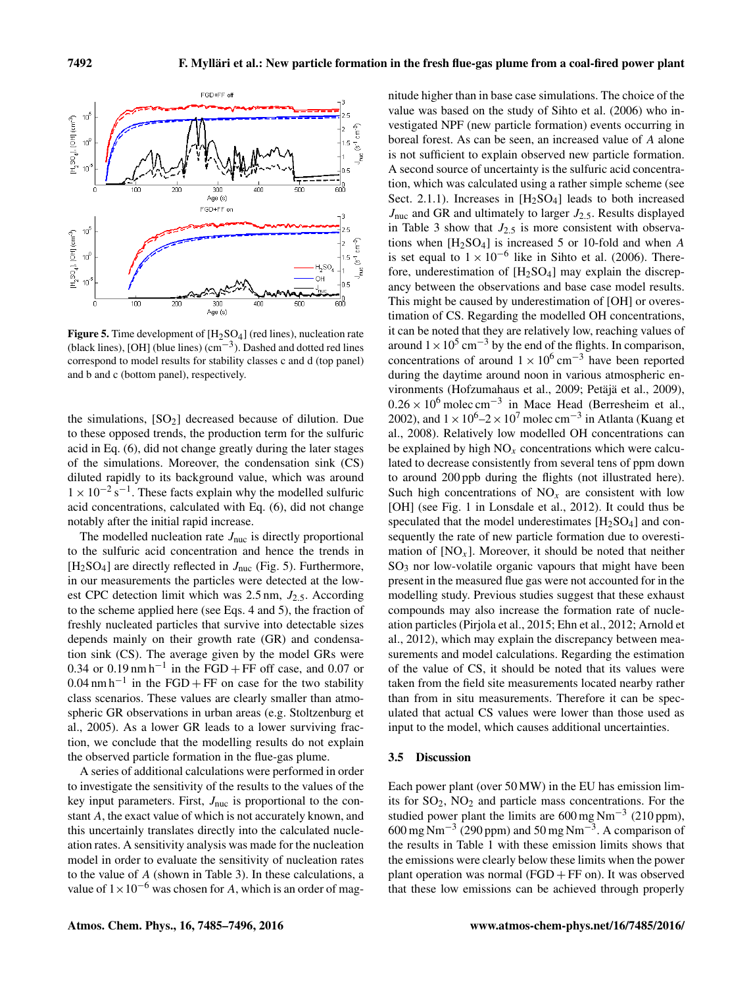

**Figure 5.** Time development of  $[H_2SO_4]$  (red lines), nucleation rate (black lines), [OH] (blue lines) (cm−<sup>3</sup> ). Dashed and dotted red lines correspond to model results for stability classes c and d (top panel) and b and c (bottom panel), respectively.

the simulations,  $[SO_2]$  decreased because of dilution. Due to these opposed trends, the production term for the sulfuric acid in Eq. [\(6\)](#page-3-4), did not change greatly during the later stages of the simulations. Moreover, the condensation sink (CS) diluted rapidly to its background value, which was around  $1 \times 10^{-2}$  s<sup>-1</sup>. These facts explain why the modelled sulfuric acid concentrations, calculated with Eq. [\(6\)](#page-3-4), did not change notably after the initial rapid increase.

The modelled nucleation rate  $J_{\text{nuc}}$  is directly proportional to the sulfuric acid concentration and hence the trends in [H<sub>2</sub>SO<sub>4</sub>] are directly reflected in  $J_{\text{nuc}}$  (Fig. 5). Furthermore, in our measurements the particles were detected at the lowest CPC detection limit which was  $2.5 \text{ nm}$ ,  $J_{2.5}$ . According to the scheme applied here (see Eqs. [4](#page-3-2) and [5\)](#page-3-3), the fraction of freshly nucleated particles that survive into detectable sizes depends mainly on their growth rate (GR) and condensation sink (CS). The average given by the model GRs were 0.34 or 0.19 nm h<sup>-1</sup> in the FGD + FF off case, and 0.07 or  $0.04$  nm h<sup>-1</sup> in the FGD + FF on case for the two stability class scenarios. These values are clearly smaller than atmospheric GR observations in urban areas (e.g. Stoltzenburg et al., 2005). As a lower GR leads to a lower surviving fraction, we conclude that the modelling results do not explain the observed particle formation in the flue-gas plume.

A series of additional calculations were performed in order to investigate the sensitivity of the results to the values of the key input parameters. First,  $J_{\text{nuc}}$  is proportional to the constant A, the exact value of which is not accurately known, and this uncertainly translates directly into the calculated nucleation rates. A sensitivity analysis was made for the nucleation model in order to evaluate the sensitivity of nucleation rates to the value of A (shown in Table [3\)](#page-8-0). In these calculations, a value of  $1 \times 10^{-6}$  was chosen for A, which is an order of magnitude higher than in base case simulations. The choice of the value was based on the study of Sihto et al. (2006) who investigated NPF (new particle formation) events occurring in boreal forest. As can be seen, an increased value of A alone is not sufficient to explain observed new particle formation. A second source of uncertainty is the sulfuric acid concentration, which was calculated using a rather simple scheme (see Sect. 2.1.1). Increases in  $[H_2SO_4]$  leads to both increased  $J_{\text{nuc}}$  and GR and ultimately to larger  $J_{2.5}$ . Results displayed in Table [3](#page-8-0) show that  $J_{2.5}$  is more consistent with observations when  $[H_2SO_4]$  is increased 5 or 10-fold and when A is set equal to  $1 \times 10^{-6}$  like in Sihto et al. (2006). Therefore, underestimation of  $[H_2SO_4]$  may explain the discrepancy between the observations and base case model results. This might be caused by underestimation of [OH] or overestimation of CS. Regarding the modelled OH concentrations, it can be noted that they are relatively low, reaching values of around  $1 \times 10^5$  cm<sup>-3</sup> by the end of the flights. In comparison, concentrations of around  $1 \times 10^6$  cm<sup>-3</sup> have been reported during the daytime around noon in various atmospheric environments (Hofzumahaus et al., 2009; Petäjä et al., 2009),  $0.26 \times 10^6$  molec cm<sup>-3</sup> in Mace Head (Berresheim et al., 2002), and  $1 \times 10^6 - 2 \times 10^7$  molec cm<sup>-3</sup> in Atlanta (Kuang et al., 2008). Relatively low modelled OH concentrations can be explained by high  $NO<sub>x</sub>$  concentrations which were calculated to decrease consistently from several tens of ppm down to around 200 ppb during the flights (not illustrated here). Such high concentrations of  $NO<sub>x</sub>$  are consistent with low [OH] (see Fig. 1 in Lonsdale et al., 2012). It could thus be speculated that the model underestimates  $[H<sub>2</sub>SO<sub>4</sub>]$  and consequently the rate of new particle formation due to overestimation of  $[NO<sub>x</sub>]$ . Moreover, it should be noted that neither  $SO<sub>3</sub>$  nor low-volatile organic vapours that might have been present in the measured flue gas were not accounted for in the modelling study. Previous studies suggest that these exhaust compounds may also increase the formation rate of nucleation particles (Pirjola et al., 2015; Ehn et al., 2012; Arnold et al., 2012), which may explain the discrepancy between measurements and model calculations. Regarding the estimation of the value of CS, it should be noted that its values were taken from the field site measurements located nearby rather than from in situ measurements. Therefore it can be speculated that actual CS values were lower than those used as input to the model, which causes additional uncertainties.

#### 3.5 Discussion

Each power plant (over 50 MW) in the EU has emission limits for SO2, NO<sup>2</sup> and particle mass concentrations. For the studied power plant the limits are  $600 \text{ mg Nm}^{-3}$  (210 ppm),  $600 \text{ mg Nm}^{-3}$  (290 ppm) and 50 mg Nm<sup>-3</sup>. A comparison of the results in Table 1 with these emission limits shows that the emissions were clearly below these limits when the power plant operation was normal  $(FGD + FF)$  on). It was observed that these low emissions can be achieved through properly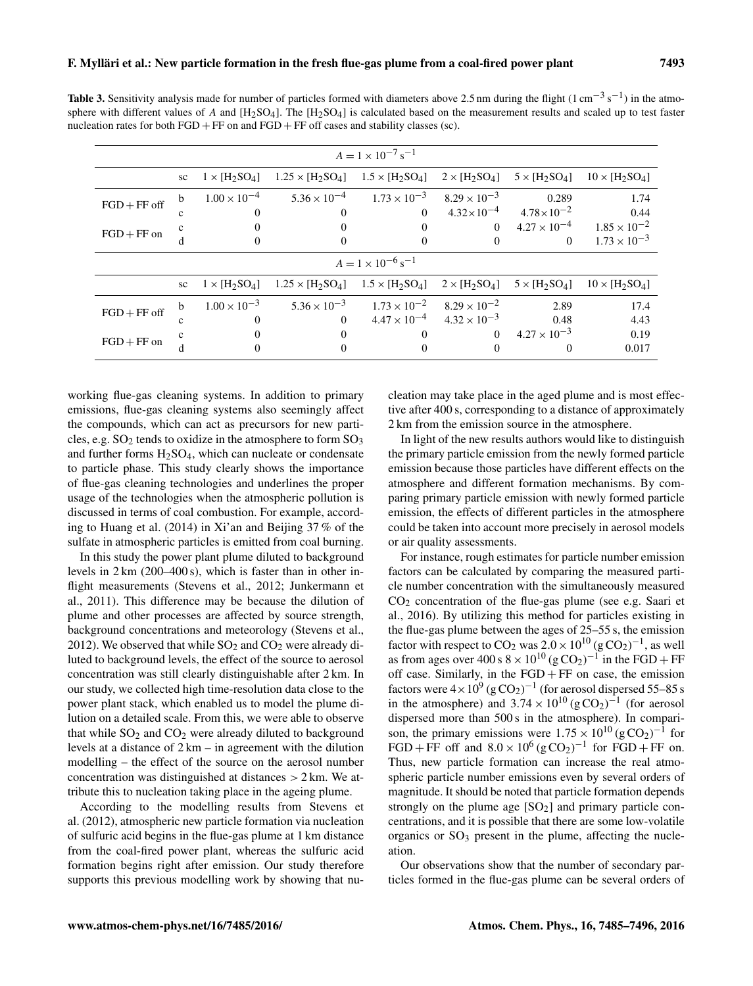<span id="page-8-0"></span>Table 3. Sensitivity analysis made for number of particles formed with diameters above 2.5 nm during the flight (1 cm<sup>-3</sup> s<sup>-1</sup>) in the atmosphere with different values of A and  $[H_2SO_4]$ . The  $[H_2SO_4]$  is calculated based on the measurement results and scaled up to test faster nucleation rates for both  $FGD + FF$  on and  $FGD + FF$  off cases and stability classes (sc).

| $A = 1 \times 10^{-7}$ s <sup>-1</sup> |    |                       |                         |                        |                       |                       |                       |  |  |
|----------------------------------------|----|-----------------------|-------------------------|------------------------|-----------------------|-----------------------|-----------------------|--|--|
|                                        | sc | $1 \times [H_2SO_4]$  | $1.25 \times [H_2SO_4]$ | $1.5 \times [H_2SO_4]$ | $2 \times [H_2SO_4]$  | $5 \times [H_2SO_4]$  | $10 \times [H_2SO_4]$ |  |  |
| $FGD + FF$ off                         | b  | $1.00 \times 10^{-4}$ | $5.36 \times 10^{-4}$   | $1.73 \times 10^{-3}$  | $8.29 \times 10^{-3}$ | 0.289                 | 1.74                  |  |  |
|                                        | c  | $\Omega$              | $\Omega$                | $\Omega$               | $4.32 \times 10^{-4}$ | $4.78 \times 10^{-2}$ | 0.44                  |  |  |
| $FGD + FF$ on                          |    |                       |                         |                        | $\Omega$              | $4.27 \times 10^{-4}$ | $1.85 \times 10^{-2}$ |  |  |
|                                        | d  | $\Omega$              | $\Omega$                | $\Omega$               | $\theta$              | $\theta$              | $1.73 \times 10^{-3}$ |  |  |
| $A = 1 \times 10^{-6}$ s <sup>-1</sup> |    |                       |                         |                        |                       |                       |                       |  |  |
|                                        | sc | $1 \times [H_2SO_4]$  | $1.25 \times [H_2SO_4]$ | $1.5 \times [H_2SO_4]$ | $2 \times [H_2SO_4]$  | $5 \times [H_2SO_4]$  | $10 \times [H_2SO_4]$ |  |  |
| $FGD + FF$ off                         | b  | $1.00 \times 10^{-3}$ | $5.36 \times 10^{-3}$   | $1.73 \times 10^{-2}$  | $8.29 \times 10^{-2}$ | 2.89                  | 17.4                  |  |  |
|                                        | c  | $\Omega$              | $\Omega$                | $4.47 \times 10^{-4}$  | $4.32 \times 10^{-3}$ | 0.48                  | 4.43                  |  |  |
| $FGD + FF$ on                          |    | $\theta$              |                         |                        | $\Omega$              | $4.27 \times 10^{-3}$ | 0.19                  |  |  |
|                                        | d  |                       |                         |                        | $\Omega$              | 0                     | 0.017                 |  |  |

working flue-gas cleaning systems. In addition to primary emissions, flue-gas cleaning systems also seemingly affect the compounds, which can act as precursors for new particles, e.g.  $SO_2$  tends to oxidize in the atmosphere to form  $SO_3$ and further forms  $H_2SO_4$ , which can nucleate or condensate to particle phase. This study clearly shows the importance of flue-gas cleaning technologies and underlines the proper usage of the technologies when the atmospheric pollution is discussed in terms of coal combustion. For example, according to Huang et al. (2014) in Xi'an and Beijing 37 % of the sulfate in atmospheric particles is emitted from coal burning.

In this study the power plant plume diluted to background levels in 2 km (200–400 s), which is faster than in other inflight measurements (Stevens et al., 2012; Junkermann et al., 2011). This difference may be because the dilution of plume and other processes are affected by source strength, background concentrations and meteorology (Stevens et al., 2012). We observed that while  $SO_2$  and  $CO_2$  were already diluted to background levels, the effect of the source to aerosol concentration was still clearly distinguishable after 2 km. In our study, we collected high time-resolution data close to the power plant stack, which enabled us to model the plume dilution on a detailed scale. From this, we were able to observe that while  $SO<sub>2</sub>$  and  $CO<sub>2</sub>$  were already diluted to background levels at a distance of 2 km – in agreement with the dilution modelling – the effect of the source on the aerosol number concentration was distinguished at distances  $> 2$  km. We attribute this to nucleation taking place in the ageing plume.

According to the modelling results from Stevens et al. (2012), atmospheric new particle formation via nucleation of sulfuric acid begins in the flue-gas plume at 1 km distance from the coal-fired power plant, whereas the sulfuric acid formation begins right after emission. Our study therefore supports this previous modelling work by showing that nucleation may take place in the aged plume and is most effective after 400 s, corresponding to a distance of approximately 2 km from the emission source in the atmosphere.

In light of the new results authors would like to distinguish the primary particle emission from the newly formed particle emission because those particles have different effects on the atmosphere and different formation mechanisms. By comparing primary particle emission with newly formed particle emission, the effects of different particles in the atmosphere could be taken into account more precisely in aerosol models or air quality assessments.

For instance, rough estimates for particle number emission factors can be calculated by comparing the measured particle number concentration with the simultaneously measured  $CO<sub>2</sub>$  concentration of the flue-gas plume (see e.g. Saari et al., 2016). By utilizing this method for particles existing in the flue-gas plume between the ages of 25–55 s, the emission factor with respect to CO<sub>2</sub> was  $2.0 \times 10^{10}$  (g CO<sub>2</sub>)<sup>-1</sup>, as well as from ages over 400 s  $8 \times 10^{10}$  (g CO<sub>2</sub>)<sup>-1</sup> in the FGD + FF off case. Similarly, in the  $FGD + FF$  on case, the emission factors were  $4 \times 10^9$  (g CO<sub>2</sub>)<sup>-1</sup> (for aerosol dispersed 55–85 s in the atmosphere) and  $3.74 \times 10^{10} (g \text{CO}_2)^{-1}$  (for aerosol dispersed more than 500 s in the atmosphere). In comparison, the primary emissions were  $1.75 \times 10^{10}$  (g CO<sub>2</sub>)<sup>-1</sup> for FGD + FF off and  $8.0 \times 10^6$  (gCO<sub>2</sub>)<sup>-1</sup> for FGD + FF on. Thus, new particle formation can increase the real atmospheric particle number emissions even by several orders of magnitude. It should be noted that particle formation depends strongly on the plume age  $[SO_2]$  and primary particle concentrations, and it is possible that there are some low-volatile organics or  $SO<sub>3</sub>$  present in the plume, affecting the nucleation.

Our observations show that the number of secondary particles formed in the flue-gas plume can be several orders of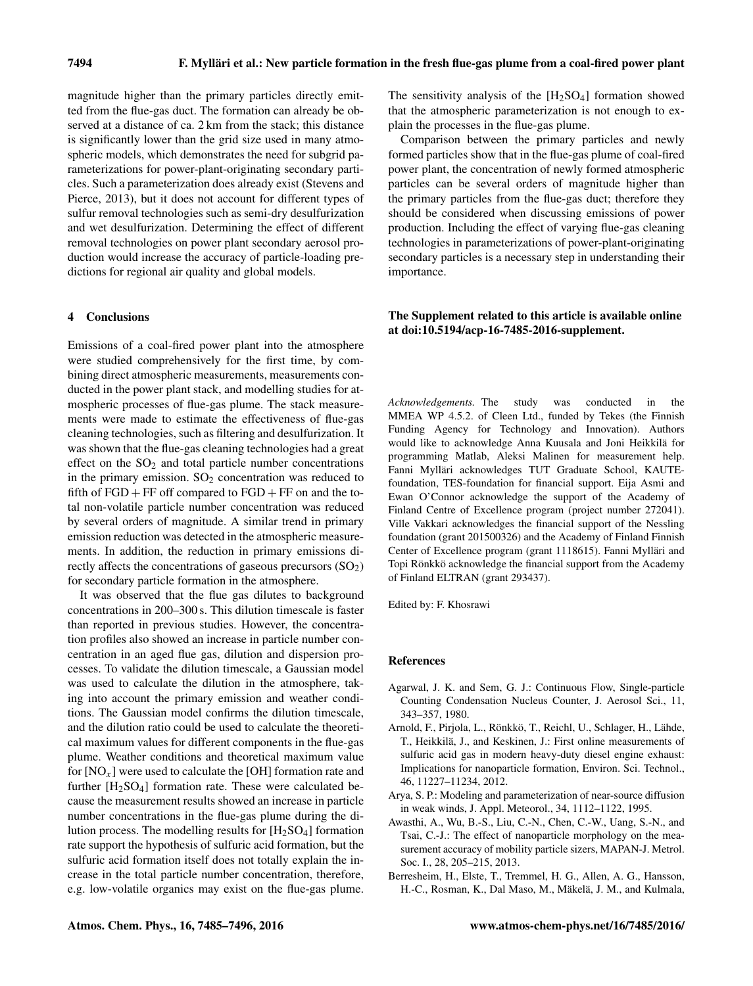magnitude higher than the primary particles directly emitted from the flue-gas duct. The formation can already be observed at a distance of ca. 2 km from the stack; this distance is significantly lower than the grid size used in many atmospheric models, which demonstrates the need for subgrid parameterizations for power-plant-originating secondary particles. Such a parameterization does already exist (Stevens and Pierce, 2013), but it does not account for different types of sulfur removal technologies such as semi-dry desulfurization and wet desulfurization. Determining the effect of different removal technologies on power plant secondary aerosol production would increase the accuracy of particle-loading predictions for regional air quality and global models.

#### 4 Conclusions

Emissions of a coal-fired power plant into the atmosphere were studied comprehensively for the first time, by combining direct atmospheric measurements, measurements conducted in the power plant stack, and modelling studies for atmospheric processes of flue-gas plume. The stack measurements were made to estimate the effectiveness of flue-gas cleaning technologies, such as filtering and desulfurization. It was shown that the flue-gas cleaning technologies had a great effect on the  $SO<sub>2</sub>$  and total particle number concentrations in the primary emission.  $SO<sub>2</sub>$  concentration was reduced to fifth of  $FGD + FF$  off compared to  $FGD + FF$  on and the total non-volatile particle number concentration was reduced by several orders of magnitude. A similar trend in primary emission reduction was detected in the atmospheric measurements. In addition, the reduction in primary emissions directly affects the concentrations of gaseous precursors  $(SO<sub>2</sub>)$ for secondary particle formation in the atmosphere.

It was observed that the flue gas dilutes to background concentrations in 200–300 s. This dilution timescale is faster than reported in previous studies. However, the concentration profiles also showed an increase in particle number concentration in an aged flue gas, dilution and dispersion processes. To validate the dilution timescale, a Gaussian model was used to calculate the dilution in the atmosphere, taking into account the primary emission and weather conditions. The Gaussian model confirms the dilution timescale, and the dilution ratio could be used to calculate the theoretical maximum values for different components in the flue-gas plume. Weather conditions and theoretical maximum value for  $[NO<sub>x</sub>]$  were used to calculate the [OH] formation rate and further  $[H_2SO_4]$  formation rate. These were calculated because the measurement results showed an increase in particle number concentrations in the flue-gas plume during the dilution process. The modelling results for  $[H_2SO_4]$  formation rate support the hypothesis of sulfuric acid formation, but the sulfuric acid formation itself does not totally explain the increase in the total particle number concentration, therefore, e.g. low-volatile organics may exist on the flue-gas plume. The sensitivity analysis of the  $[H_2SO_4]$  formation showed that the atmospheric parameterization is not enough to explain the processes in the flue-gas plume.

Comparison between the primary particles and newly formed particles show that in the flue-gas plume of coal-fired power plant, the concentration of newly formed atmospheric particles can be several orders of magnitude higher than the primary particles from the flue-gas duct; therefore they should be considered when discussing emissions of power production. Including the effect of varying flue-gas cleaning technologies in parameterizations of power-plant-originating secondary particles is a necessary step in understanding their importance.

# The Supplement related to this article is available online at [doi:10.5194/acp-16-7485-2016-supplement.](http://dx.doi.org/10.5194/acp-16-7485-2016-supplement)

*Acknowledgements.* The study was conducted in the MMEA WP 4.5.2. of Cleen Ltd., funded by Tekes (the Finnish Funding Agency for Technology and Innovation). Authors would like to acknowledge Anna Kuusala and Joni Heikkilä for programming Matlab, Aleksi Malinen for measurement help. Fanni Mylläri acknowledges TUT Graduate School, KAUTEfoundation, TES-foundation for financial support. Eija Asmi and Ewan O'Connor acknowledge the support of the Academy of Finland Centre of Excellence program (project number 272041). Ville Vakkari acknowledges the financial support of the Nessling foundation (grant 201500326) and the Academy of Finland Finnish Center of Excellence program (grant 1118615). Fanni Mylläri and Topi Rönkkö acknowledge the financial support from the Academy of Finland ELTRAN (grant 293437).

Edited by: F. Khosrawi

#### References

- Agarwal, J. K. and Sem, G. J.: Continuous Flow, Single-particle Counting Condensation Nucleus Counter, J. Aerosol Sci., 11, 343–357, 1980.
- Arnold, F., Pirjola, L., Rönkkö, T., Reichl, U., Schlager, H., Lähde, T., Heikkilä, J., and Keskinen, J.: First online measurements of sulfuric acid gas in modern heavy-duty diesel engine exhaust: Implications for nanoparticle formation, Environ. Sci. Technol., 46, 11227–11234, 2012.
- Arya, S. P.: Modeling and parameterization of near-source diffusion in weak winds, J. Appl. Meteorol., 34, 1112–1122, 1995.
- Awasthi, A., Wu, B.-S., Liu, C.-N., Chen, C.-W., Uang, S.-N., and Tsai, C.-J.: The effect of nanoparticle morphology on the measurement accuracy of mobility particle sizers, MAPAN-J. Metrol. Soc. I., 28, 205–215, 2013.
- Berresheim, H., Elste, T., Tremmel, H. G., Allen, A. G., Hansson, H.-C., Rosman, K., Dal Maso, M., Mäkelä, J. M., and Kulmala,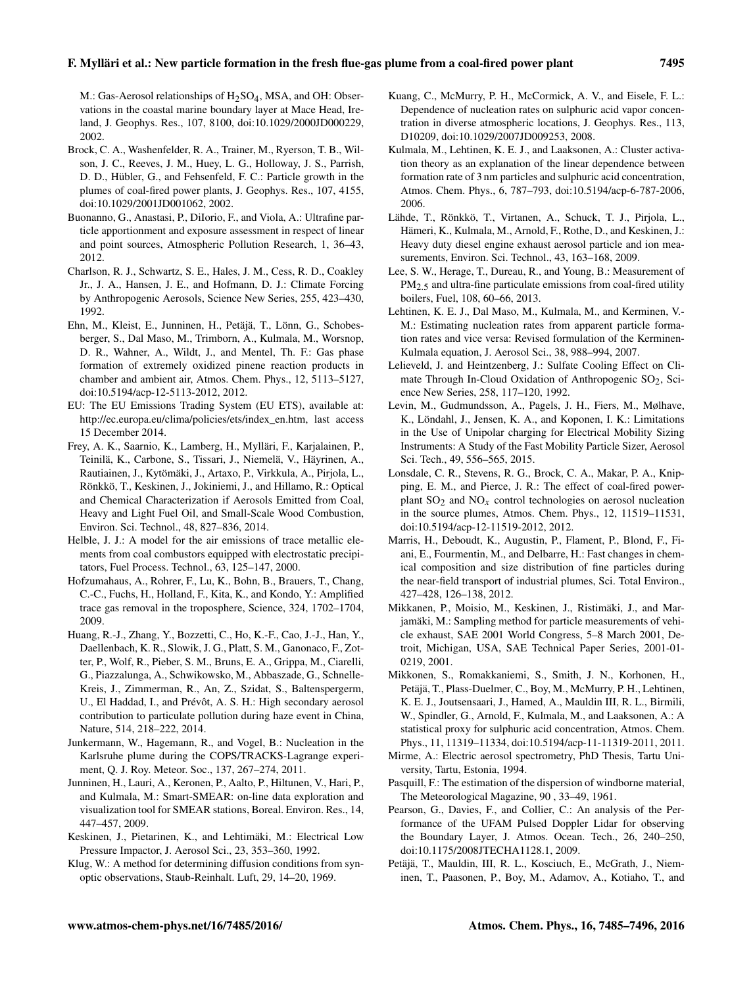### F. Mylläri et al.: New particle formation in the fresh flue-gas plume from a coal-fired power plant 7495

M.: Gas-Aerosol relationships of H2SO4, MSA, and OH: Observations in the coastal marine boundary layer at Mace Head, Ireland, J. Geophys. Res., 107, 8100, doi[:10.1029/2000JD000229,](http://dx.doi.org/10.1029/2000JD000229) 2002.

- Brock, C. A., Washenfelder, R. A., Trainer, M., Ryerson, T. B., Wilson, J. C., Reeves, J. M., Huey, L. G., Holloway, J. S., Parrish, D. D., Hübler, G., and Fehsenfeld, F. C.: Particle growth in the plumes of coal-fired power plants, J. Geophys. Res., 107, 4155, doi[:10.1029/2001JD001062,](http://dx.doi.org/10.1029/2001JD001062) 2002.
- Buonanno, G., Anastasi, P., DiIorio, F., and Viola, A.: Ultrafine particle apportionment and exposure assessment in respect of linear and point sources, Atmospheric Pollution Research, 1, 36–43, 2012.
- Charlson, R. J., Schwartz, S. E., Hales, J. M., Cess, R. D., Coakley Jr., J. A., Hansen, J. E., and Hofmann, D. J.: Climate Forcing by Anthropogenic Aerosols, Science New Series, 255, 423–430, 1992.
- Ehn, M., Kleist, E., Junninen, H., Petäjä, T., Lönn, G., Schobesberger, S., Dal Maso, M., Trimborn, A., Kulmala, M., Worsnop, D. R., Wahner, A., Wildt, J., and Mentel, Th. F.: Gas phase formation of extremely oxidized pinene reaction products in chamber and ambient air, Atmos. Chem. Phys., 12, 5113–5127, doi[:10.5194/acp-12-5113-2012,](http://dx.doi.org/10.5194/acp-12-5113-2012) 2012.
- EU: The EU Emissions Trading System (EU ETS), available at: [http://ec.europa.eu/clima/policies/ets/index\\_en.htm,](http://ec.europa.eu/clima/policies/ets/index_en.htm) last access 15 December 2014.
- Frey, A. K., Saarnio, K., Lamberg, H., Mylläri, F., Karjalainen, P., Teinilä, K., Carbone, S., Tissari, J., Niemelä, V., Häyrinen, A., Rautiainen, J., Kytömäki, J., Artaxo, P., Virkkula, A., Pirjola, L., Rönkkö, T., Keskinen, J., Jokiniemi, J., and Hillamo, R.: Optical and Chemical Characterization if Aerosols Emitted from Coal, Heavy and Light Fuel Oil, and Small-Scale Wood Combustion, Environ. Sci. Technol., 48, 827–836, 2014.
- Helble, J. J.: A model for the air emissions of trace metallic elements from coal combustors equipped with electrostatic precipitators, Fuel Process. Technol., 63, 125–147, 2000.
- Hofzumahaus, A., Rohrer, F., Lu, K., Bohn, B., Brauers, T., Chang, C.-C., Fuchs, H., Holland, F., Kita, K., and Kondo, Y.: Amplified trace gas removal in the troposphere, Science, 324, 1702–1704, 2009.
- Huang, R.-J., Zhang, Y., Bozzetti, C., Ho, K.-F., Cao, J.-J., Han, Y., Daellenbach, K. R., Slowik, J. G., Platt, S. M., Ganonaco, F., Zotter, P., Wolf, R., Pieber, S. M., Bruns, E. A., Grippa, M., Ciarelli, G., Piazzalunga, A., Schwikowsko, M., Abbaszade, G., Schnelle-Kreis, J., Zimmerman, R., An, Z., Szidat, S., Baltenspergerm, U., El Haddad, I., and Prévôt, A. S. H.: High secondary aerosol contribution to particulate pollution during haze event in China, Nature, 514, 218–222, 2014.
- Junkermann, W., Hagemann, R., and Vogel, B.: Nucleation in the Karlsruhe plume during the COPS/TRACKS-Lagrange experiment, Q. J. Roy. Meteor. Soc., 137, 267–274, 2011.
- Junninen, H., Lauri, A., Keronen, P., Aalto, P., Hiltunen, V., Hari, P., and Kulmala, M.: Smart-SMEAR: on-line data exploration and visualization tool for SMEAR stations, Boreal. Environ. Res., 14, 447–457, 2009.
- Keskinen, J., Pietarinen, K., and Lehtimäki, M.: Electrical Low Pressure Impactor, J. Aerosol Sci., 23, 353–360, 1992.
- Klug, W.: A method for determining diffusion conditions from synoptic observations, Staub-Reinhalt. Luft, 29, 14–20, 1969.
- Kuang, C., McMurry, P. H., McCormick, A. V., and Eisele, F. L.: Dependence of nucleation rates on sulphuric acid vapor concentration in diverse atmospheric locations, J. Geophys. Res., 113, D10209, doi[:10.1029/2007JD009253,](http://dx.doi.org/10.1029/2007JD009253) 2008.
- Kulmala, M., Lehtinen, K. E. J., and Laaksonen, A.: Cluster activation theory as an explanation of the linear dependence between formation rate of 3 nm particles and sulphuric acid concentration, Atmos. Chem. Phys., 6, 787–793, doi[:10.5194/acp-6-787-2006,](http://dx.doi.org/10.5194/acp-6-787-2006) 2006.
- Lähde, T., Rönkkö, T., Virtanen, A., Schuck, T. J., Pirjola, L., Hämeri, K., Kulmala, M., Arnold, F., Rothe, D., and Keskinen, J.: Heavy duty diesel engine exhaust aerosol particle and ion measurements, Environ. Sci. Technol., 43, 163–168, 2009.
- Lee, S. W., Herage, T., Dureau, R., and Young, B.: Measurement of  $PM<sub>2.5</sub>$  and ultra-fine particulate emissions from coal-fired utility boilers, Fuel, 108, 60–66, 2013.
- Lehtinen, K. E. J., Dal Maso, M., Kulmala, M., and Kerminen, V.- M.: Estimating nucleation rates from apparent particle formation rates and vice versa: Revised formulation of the Kerminen-Kulmala equation, J. Aerosol Sci., 38, 988–994, 2007.
- Lelieveld, J. and Heintzenberg, J.: Sulfate Cooling Effect on Climate Through In-Cloud Oxidation of Anthropogenic  $SO_2$ , Science New Series, 258, 117–120, 1992.
- Levin, M., Gudmundsson, A., Pagels, J. H., Fiers, M., Mølhave, K., Löndahl, J., Jensen, K. A., and Koponen, I. K.: Limitations in the Use of Unipolar charging for Electrical Mobility Sizing Instruments: A Study of the Fast Mobility Particle Sizer, Aerosol Sci. Tech., 49, 556–565, 2015.
- Lonsdale, C. R., Stevens, R. G., Brock, C. A., Makar, P. A., Knipping, E. M., and Pierce, J. R.: The effect of coal-fired powerplant  $SO_2$  and  $NO_x$  control technologies on aerosol nucleation in the source plumes, Atmos. Chem. Phys., 12, 11519–11531, doi[:10.5194/acp-12-11519-2012,](http://dx.doi.org/10.5194/acp-12-11519-2012) 2012.
- Marris, H., Deboudt, K., Augustin, P., Flament, P., Blond, F., Fiani, E., Fourmentin, M., and Delbarre, H.: Fast changes in chemical composition and size distribution of fine particles during the near-field transport of industrial plumes, Sci. Total Environ., 427–428, 126–138, 2012.
- Mikkanen, P., Moisio, M., Keskinen, J., Ristimäki, J., and Marjamäki, M.: Sampling method for particle measurements of vehicle exhaust, SAE 2001 World Congress, 5–8 March 2001, Detroit, Michigan, USA, SAE Technical Paper Series, 2001-01- 0219, 2001.
- Mikkonen, S., Romakkaniemi, S., Smith, J. N., Korhonen, H., Petäjä, T., Plass-Duelmer, C., Boy, M., McMurry, P. H., Lehtinen, K. E. J., Joutsensaari, J., Hamed, A., Mauldin III, R. L., Birmili, W., Spindler, G., Arnold, F., Kulmala, M., and Laaksonen, A.: A statistical proxy for sulphuric acid concentration, Atmos. Chem. Phys., 11, 11319–11334, doi[:10.5194/acp-11-11319-2011,](http://dx.doi.org/10.5194/acp-11-11319-2011) 2011.
- Mirme, A.: Electric aerosol spectrometry, PhD Thesis, Tartu University, Tartu, Estonia, 1994.
- Pasquill, F.: The estimation of the dispersion of windborne material, The Meteorological Magazine, 90 , 33–49, 1961.
- Pearson, G., Davies, F., and Collier, C.: An analysis of the Performance of the UFAM Pulsed Doppler Lidar for observing the Boundary Layer, J. Atmos. Ocean. Tech., 26, 240–250, doi[:10.1175/2008JTECHA1128.1,](http://dx.doi.org/10.1175/2008JTECHA1128.1) 2009.
- Petäjä, T., Mauldin, III, R. L., Kosciuch, E., McGrath, J., Nieminen, T., Paasonen, P., Boy, M., Adamov, A., Kotiaho, T., and